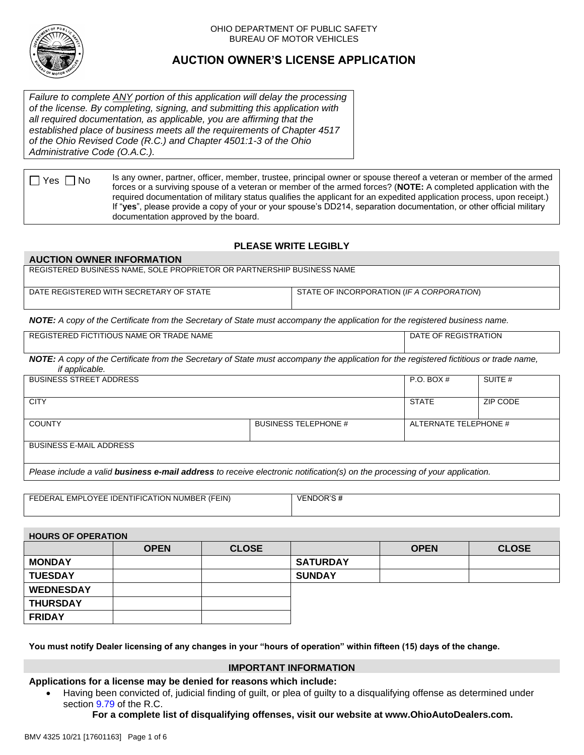

#### OHIO DEPARTMENT OF PUBLIC SAFETY BUREAU OF MOTOR VEHICLES

# **AUCTION OWNER'S LICENSE APPLICATION**

*Failure to complete ANY portion of this application will delay the processing of the license. By completing, signing, and submitting this application with all required documentation, as applicable, you are affirming that the established place of business meets all the requirements of Chapter 4517 of the Ohio Revised Code (R.C.) and Chapter 4501:1-3 of the Ohio Administrative Code (O.A.C.).*

 $\Box$  Yes  $\Box$  No Is any owner, partner, officer, member, trustee, principal owner or spouse thereof a veteran or member of the armed forces or a surviving spouse of a veteran or member of the armed forces? (**NOTE:** A completed application with the required documentation of military status qualifies the applicant for an expedited application process, upon receipt.) If "**yes**", please provide a copy of your or your spouse's DD214, separation documentation, or other official military documentation approved by the board.

# **PLEASE WRITE LEGIBLY**

#### **AUCTION OWNER INFORMATION**

| REGISTERED BUSINESS NAME, SOLE PROPRIETOR OR PARTNERSHIP BUSINESS NAME |                                           |  |  |
|------------------------------------------------------------------------|-------------------------------------------|--|--|
|                                                                        |                                           |  |  |
| DATE REGISTERED WITH SECRETARY OF STATE                                | STATE OF INCORPORATION (IF A CORPORATION) |  |  |
|                                                                        |                                           |  |  |

*NOTE: A copy of the Certificate from the Secretary of State must accompany the application for the registered business name.*

| REGISTERED FICTITIOUS NAME OR TRADE NAME | DATE OF REGISTRATION |  |  |
|------------------------------------------|----------------------|--|--|
|                                          |                      |  |  |

*NOTE: A copy of the Certificate from the Secretary of State must accompany the application for the registered fictitious or trade name, if applicable.*

| <b>BUSINESS STREET ADDRESS</b> |                             | $P.O.$ BOX #          | SUITE #  |
|--------------------------------|-----------------------------|-----------------------|----------|
| <b>CITY</b>                    |                             | STATE                 | ZIP CODE |
| <b>COUNTY</b>                  | <b>BUSINESS TELEPHONE #</b> | ALTERNATE TELEPHONE # |          |
| <b>BUSINESS E-MAIL ADDRESS</b> |                             |                       |          |

*Please include a valid business e-mail address to receive electronic notification(s) on the processing of your application.*

| FEDERAL EMPLOYEE IDENTIFICATION NUMBER (FEIN) | VENDOR'S# |
|-----------------------------------------------|-----------|
|                                               |           |

| <b>HOURS OF OPERATION</b> |             |              |                 |             |              |
|---------------------------|-------------|--------------|-----------------|-------------|--------------|
|                           | <b>OPEN</b> | <b>CLOSE</b> |                 | <b>OPEN</b> | <b>CLOSE</b> |
| <b>MONDAY</b>             |             |              | <b>SATURDAY</b> |             |              |
| <b>TUESDAY</b>            |             |              | <b>SUNDAY</b>   |             |              |
| <b>WEDNESDAY</b>          |             |              |                 |             |              |
| <b>THURSDAY</b>           |             |              |                 |             |              |
| <b>FRIDAY</b>             |             |              |                 |             |              |

**You must notify Dealer licensing of any changes in your "hours of operation" within fifteen (15) days of the change.** 

#### **IMPORTANT INFORMATION**

### **Applications for a license may be denied for reasons which include:**

 Having been convicted of, judicial finding of guilt, or plea of guilty to a disqualifying offense as determined under section [9.79](https://codes.ohio.gov/ohio-revised-code/section-9.79) of the R.C.

**For a complete list of disqualifying offenses, visit our website at www.OhioAutoDealers.com.**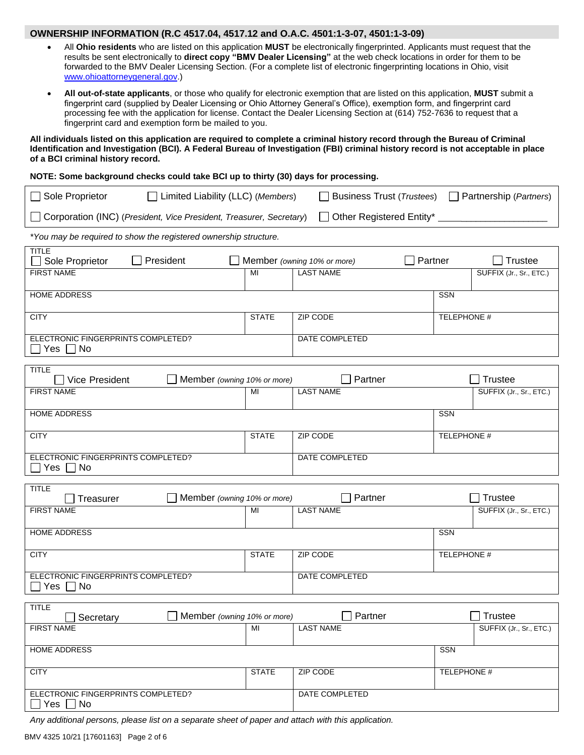#### **OWNERSHIP INFORMATION (R.C 4517.04, 4517.12 and O.A.C. 4501:1-3-07, 4501:1-3-09)**

- All **Ohio residents** who are listed on this application **MUST** be electronically fingerprinted. Applicants must request that the results be sent electronically to **direct copy "BMV Dealer Licensing"** at the web check locations in order for them to be forwarded to the BMV Dealer Licensing Section. (For a complete list of electronic fingerprinting locations in Ohio, visit [www.ohioattorneygeneral.gov.](http://www.ohioattorneygeneral.gov/))
- **All out-of-state applicants**, or those who qualify for electronic exemption that are listed on this application, **MUST** submit a fingerprint card (supplied by Dealer Licensing or Ohio Attorney General's Office), exemption form, and fingerprint card processing fee with the application for license. Contact the Dealer Licensing Section at (614) 752-7636 to request that a fingerprint card and exemption form be mailed to you.

**All individuals listed on this application are required to complete a criminal history record through the Bureau of Criminal Identification and Investigation (BCI). A Federal Bureau of Investigation (FBI) criminal history record is not acceptable in place of a BCI criminal history record.**

#### **NOTE: Some background checks could take BCI up to thirty (30) days for processing.**

| $\Box$ Sole Proprietor<br>□ Limited Liability (LLC) (Members)<br>$\Box$ Business Trust ( <i>Trustees</i> ) $\Box$ Partnership ( <i>Partners</i> ) |              |                             |         |                    |                                           |
|---------------------------------------------------------------------------------------------------------------------------------------------------|--------------|-----------------------------|---------|--------------------|-------------------------------------------|
| Corporation (INC) (President, Vice President, Treasurer, Secretary)                                                                               |              |                             |         |                    |                                           |
| *You may be required to show the registered ownership structure.                                                                                  |              |                             |         |                    |                                           |
| <b>TITLE</b><br>President<br>Sole Proprietor                                                                                                      |              | Member (owning 10% or more) | Partner |                    | <b>Trustee</b>                            |
| <b>FIRST NAME</b>                                                                                                                                 | MI           | <b>LAST NAME</b>            |         |                    | SUFFIX (Jr., Sr., ETC.)                   |
| <b>HOME ADDRESS</b>                                                                                                                               |              |                             |         | <b>SSN</b>         |                                           |
| <b>CITY</b>                                                                                                                                       | <b>STATE</b> | ZIP CODE                    |         | TELEPHONE #        |                                           |
| ELECTRONIC FINGERPRINTS COMPLETED?<br>Yes<br>  No                                                                                                 |              | DATE COMPLETED              |         |                    |                                           |
| <b>TITLE</b>                                                                                                                                      |              |                             |         |                    |                                           |
| Member (owning 10% or more)<br>Vice President<br><b>FIRST NAME</b>                                                                                | MI           | Partner<br><b>LAST NAME</b> |         |                    | <b>Trustee</b><br>SUFFIX (Jr., Sr., ETC.) |
| <b>HOME ADDRESS</b>                                                                                                                               |              |                             |         | SSN                |                                           |
|                                                                                                                                                   |              |                             |         |                    |                                           |
| <b>CITY</b>                                                                                                                                       | <b>STATE</b> | ZIP CODE                    |         | TELEPHONE #        |                                           |
| ELECTRONIC FINGERPRINTS COMPLETED?<br>Yes<br>No                                                                                                   |              | DATE COMPLETED              |         |                    |                                           |
| <b>TITLE</b><br>Member (owning 10% or more)<br>Treasurer                                                                                          |              | Partner                     |         |                    | <b>Trustee</b>                            |
| <b>FIRST NAME</b>                                                                                                                                 | MI           | <b>LAST NAME</b>            |         |                    | SUFFIX (Jr., Sr., ETC.)                   |
| <b>HOME ADDRESS</b>                                                                                                                               |              |                             |         | SSN                |                                           |
| <b>CITY</b>                                                                                                                                       | <b>STATE</b> | ZIP CODE                    |         | TELEPHONE #        |                                           |
| ELECTRONIC FINGERPRINTS COMPLETED?<br>Yes $\Box$ No                                                                                               |              | DATE COMPLETED              |         |                    |                                           |
| <b>TITLE</b>                                                                                                                                      |              |                             |         |                    |                                           |
| Member (owning 10% or more)<br>Secretary                                                                                                          |              | $\Box$ Partner              |         |                    | $\Box$ Trustee                            |
| <b>FIRST NAME</b>                                                                                                                                 | MI           | <b>LAST NAME</b>            |         |                    | SUFFIX (Jr., Sr., ETC.)                   |
| <b>HOME ADDRESS</b>                                                                                                                               |              |                             |         | <b>SSN</b>         |                                           |
| <b>CITY</b>                                                                                                                                       | <b>STATE</b> | ZIP CODE                    |         | <b>TELEPHONE #</b> |                                           |
| ELECTRONIC FINGERPRINTS COMPLETED?<br>$\square$ Yes $\square$ No                                                                                  |              | DATE COMPLETED              |         |                    |                                           |

*Any additional persons, please list on a separate sheet of paper and attach with this application.*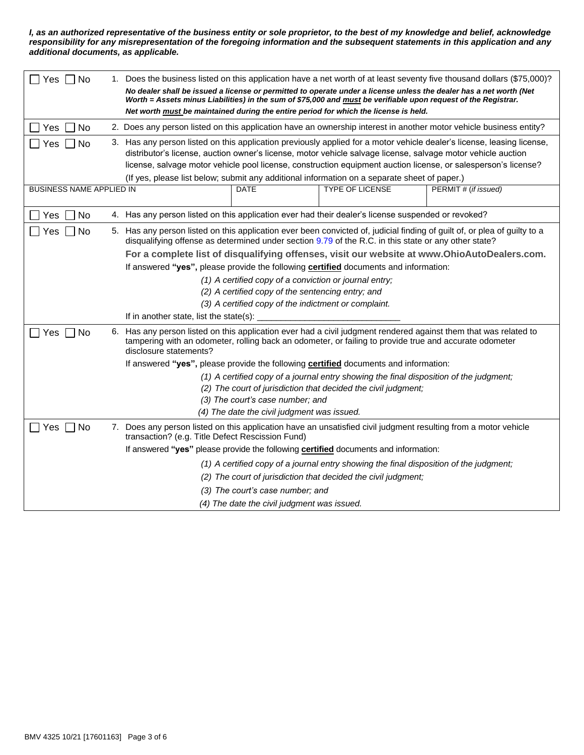*I, as an authorized representative of the business entity or sole proprietor, to the best of my knowledge and belief, acknowledge responsibility for any misrepresentation of the foregoing information and the subsequent statements in this application and any additional documents, as applicable.*

| Yes  <br>l INo                                                                         |                                                                                                                                                                                                                               | 1. Does the business listed on this application have a net worth of at least seventy five thousand dollars (\$75,000)?                                                                                                            |  |  |
|----------------------------------------------------------------------------------------|-------------------------------------------------------------------------------------------------------------------------------------------------------------------------------------------------------------------------------|-----------------------------------------------------------------------------------------------------------------------------------------------------------------------------------------------------------------------------------|--|--|
|                                                                                        | No dealer shall be issued a license or permitted to operate under a license unless the dealer has a net worth (Net                                                                                                            |                                                                                                                                                                                                                                   |  |  |
|                                                                                        |                                                                                                                                                                                                                               | Worth = Assets minus Liabilities) in the sum of \$75,000 and must be verifiable upon request of the Registrar.                                                                                                                    |  |  |
|                                                                                        |                                                                                                                                                                                                                               | Net worth must be maintained during the entire period for which the license is held.                                                                                                                                              |  |  |
| <b>Yes</b><br>No                                                                       |                                                                                                                                                                                                                               | 2. Does any person listed on this application have an ownership interest in another motor vehicle business entity?                                                                                                                |  |  |
| Yes<br>No.                                                                             |                                                                                                                                                                                                                               | 3. Has any person listed on this application previously applied for a motor vehicle dealer's license, leasing license,                                                                                                            |  |  |
|                                                                                        |                                                                                                                                                                                                                               | distributor's license, auction owner's license, motor vehicle salvage license, salvage motor vehicle auction                                                                                                                      |  |  |
|                                                                                        |                                                                                                                                                                                                                               | license, salvage motor vehicle pool license, construction equipment auction license, or salesperson's license?                                                                                                                    |  |  |
|                                                                                        |                                                                                                                                                                                                                               | (If yes, please list below; submit any additional information on a separate sheet of paper.)                                                                                                                                      |  |  |
| <b>BUSINESS NAME APPLIED IN</b>                                                        |                                                                                                                                                                                                                               | <b>TYPE OF LICENSE</b><br>PERMIT # (if issued)<br><b>DATE</b>                                                                                                                                                                     |  |  |
|                                                                                        |                                                                                                                                                                                                                               |                                                                                                                                                                                                                                   |  |  |
| No<br>Yes                                                                              |                                                                                                                                                                                                                               | 4. Has any person listed on this application ever had their dealer's license suspended or revoked?                                                                                                                                |  |  |
| Yes<br>No                                                                              |                                                                                                                                                                                                                               | 5. Has any person listed on this application ever been convicted of, judicial finding of guilt of, or plea of guilty to a<br>disqualifying offense as determined under section 9.79 of the R.C. in this state or any other state? |  |  |
|                                                                                        |                                                                                                                                                                                                                               | For a complete list of disqualifying offenses, visit our website at www.OhioAutoDealers.com.                                                                                                                                      |  |  |
|                                                                                        |                                                                                                                                                                                                                               | If answered "yes", please provide the following certified documents and information:                                                                                                                                              |  |  |
|                                                                                        |                                                                                                                                                                                                                               | (1) A certified copy of a conviction or journal entry;                                                                                                                                                                            |  |  |
| (2) A certified copy of the sentencing entry; and                                      |                                                                                                                                                                                                                               |                                                                                                                                                                                                                                   |  |  |
|                                                                                        |                                                                                                                                                                                                                               | (3) A certified copy of the indictment or complaint.                                                                                                                                                                              |  |  |
|                                                                                        |                                                                                                                                                                                                                               | If in another state, list the state(s):                                                                                                                                                                                           |  |  |
| □ No<br>Yes                                                                            | Has any person listed on this application ever had a civil judgment rendered against them that was related to<br>6.<br>tampering with an odometer, rolling back an odometer, or failing to provide true and accurate odometer |                                                                                                                                                                                                                                   |  |  |
|                                                                                        |                                                                                                                                                                                                                               | disclosure statements?                                                                                                                                                                                                            |  |  |
|                                                                                        |                                                                                                                                                                                                                               | If answered "yes", please provide the following certified documents and information:                                                                                                                                              |  |  |
| (1) A certified copy of a journal entry showing the final disposition of the judgment; |                                                                                                                                                                                                                               |                                                                                                                                                                                                                                   |  |  |
| (2) The court of jurisdiction that decided the civil judgment;                         |                                                                                                                                                                                                                               |                                                                                                                                                                                                                                   |  |  |
|                                                                                        |                                                                                                                                                                                                                               | (3) The court's case number; and                                                                                                                                                                                                  |  |  |
|                                                                                        |                                                                                                                                                                                                                               | (4) The date the civil judgment was issued.                                                                                                                                                                                       |  |  |
| Yes [<br>$\Box$ No                                                                     |                                                                                                                                                                                                                               | 7. Does any person listed on this application have an unsatisfied civil judgment resulting from a motor vehicle<br>transaction? (e.g. Title Defect Rescission Fund)                                                               |  |  |
|                                                                                        |                                                                                                                                                                                                                               | If answered "yes" please provide the following certified documents and information:                                                                                                                                               |  |  |
|                                                                                        |                                                                                                                                                                                                                               | (1) A certified copy of a journal entry showing the final disposition of the judgment;                                                                                                                                            |  |  |
|                                                                                        |                                                                                                                                                                                                                               | (2) The court of jurisdiction that decided the civil judgment;                                                                                                                                                                    |  |  |
| (3) The court's case number; and                                                       |                                                                                                                                                                                                                               |                                                                                                                                                                                                                                   |  |  |
|                                                                                        |                                                                                                                                                                                                                               | (4) The date the civil judgment was issued.                                                                                                                                                                                       |  |  |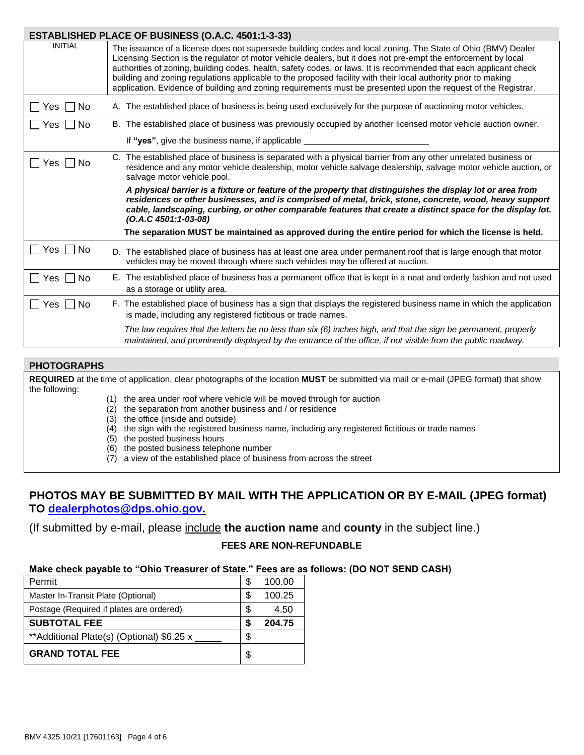|                            | ESTABLISHED PLACE OF BUSINESS (O.A.C. 4501:1-3-33)                                                                                                                                                                                                                                                                                                                                                                                                                                                                                                                                      |
|----------------------------|-----------------------------------------------------------------------------------------------------------------------------------------------------------------------------------------------------------------------------------------------------------------------------------------------------------------------------------------------------------------------------------------------------------------------------------------------------------------------------------------------------------------------------------------------------------------------------------------|
| <b>INITIAL</b>             | The issuance of a license does not supersede building codes and local zoning. The State of Ohio (BMV) Dealer<br>Licensing Section is the regulator of motor vehicle dealers, but it does not pre-empt the enforcement by local<br>authorities of zoning, building codes, health, safety codes, or laws. It is recommended that each applicant check<br>building and zoning regulations applicable to the proposed facility with their local authority prior to making<br>application. Evidence of building and zoning requirements must be presented upon the request of the Registrar. |
| Yes     No                 | A. The established place of business is being used exclusively for the purpose of auctioning motor vehicles.                                                                                                                                                                                                                                                                                                                                                                                                                                                                            |
| Yes I INo                  | B. The established place of business was previously occupied by another licensed motor vehicle auction owner.                                                                                                                                                                                                                                                                                                                                                                                                                                                                           |
|                            | If "yes", give the business name, if applicable _                                                                                                                                                                                                                                                                                                                                                                                                                                                                                                                                       |
| Yes $\vert \ \vert$<br>No. | C. The established place of business is separated with a physical barrier from any other unrelated business or<br>residence and any motor vehicle dealership, motor vehicle salvage dealership, salvage motor vehicle auction, or<br>salvage motor vehicle pool.                                                                                                                                                                                                                                                                                                                        |
|                            | A physical barrier is a fixture or feature of the property that distinguishes the display lot or area from<br>residences or other businesses, and is comprised of metal, brick, stone, concrete, wood, heavy support<br>cable, landscaping, curbing, or other comparable features that create a distinct space for the display lot.<br>$(O.A.C.4501:1-03-08)$                                                                                                                                                                                                                           |
|                            | The separation MUST be maintained as approved during the entire period for which the license is held.                                                                                                                                                                                                                                                                                                                                                                                                                                                                                   |
| Yes    No                  | D. The established place of business has at least one area under permanent roof that is large enough that motor<br>vehicles may be moved through where such vehicles may be offered at auction.                                                                                                                                                                                                                                                                                                                                                                                         |
| Yes $\vert \ \vert$<br>No. | E. The established place of business has a permanent office that is kept in a neat and orderly fashion and not used<br>as a storage or utility area.                                                                                                                                                                                                                                                                                                                                                                                                                                    |
| $\Box$ Yes $\Box$ No       | F. The established place of business has a sign that displays the registered business name in which the application<br>is made, including any registered fictitious or trade names.                                                                                                                                                                                                                                                                                                                                                                                                     |
|                            | The law requires that the letters be no less than six (6) inches high, and that the sign be permanent, properly<br>maintained, and prominently displayed by the entrance of the office, if not visible from the public roadway.                                                                                                                                                                                                                                                                                                                                                         |
|                            |                                                                                                                                                                                                                                                                                                                                                                                                                                                                                                                                                                                         |

## **PHOTOGRAPHS**

**REQUIRED** at the time of application, clear photographs of the location **MUST** be submitted via mail or e-mail (JPEG format) that show the following:

- (1) the area under roof where vehicle will be moved through for auction
- $(2)$  the separation from another business and / or residence
- (3) the office (inside and outside)
- (4) the sign with the registered business name, including any registered fictitious or trade names
- (5) the posted business hours
- (6) the posted business telephone number
- (7) a view of the established place of business from across the street

# **PHOTOS MAY BE SUBMITTED BY MAIL WITH THE APPLICATION OR BY E-MAIL (JPEG format) TO [dealerphotos@dps.ohio.gov.](mailto:dealerphotos@dps.ohio.gov)**

(If submitted by e-mail, please include **the auction name** and **county** in the subject line.)

## **FEES ARE NON-REFUNDABLE**

#### **Make check payable to "Ohio Treasurer of State." Fees are as follows: (DO NOT SEND CASH)**

| Permit                                     | S  | 100.00 |
|--------------------------------------------|----|--------|
| Master In-Transit Plate (Optional)         | \$ | 100.25 |
| Postage (Required if plates are ordered)   | \$ | 4.50   |
| <b>SUBTOTAL FEE</b>                        | S  | 204.75 |
| ** Additional Plate(s) (Optional) \$6.25 x | S  |        |
|                                            |    |        |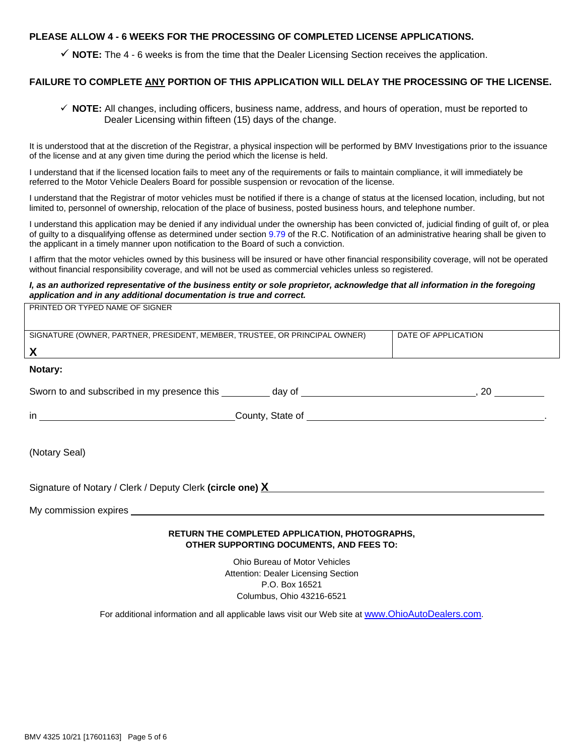### **PLEASE ALLOW 4 - 6 WEEKS FOR THE PROCESSING OF COMPLETED LICENSE APPLICATIONS.**

 $\checkmark$  **NOTE:** The 4 - 6 weeks is from the time that the Dealer Licensing Section receives the application.

### **FAILURE TO COMPLETE ANY PORTION OF THIS APPLICATION WILL DELAY THE PROCESSING OF THE LICENSE.**

 **NOTE:** All changes, including officers, business name, address, and hours of operation, must be reported to Dealer Licensing within fifteen (15) days of the change.

It is understood that at the discretion of the Registrar, a physical inspection will be performed by BMV Investigations prior to the issuance of the license and at any given time during the period which the license is held.

I understand that if the licensed location fails to meet any of the requirements or fails to maintain compliance, it will immediately be referred to the Motor Vehicle Dealers Board for possible suspension or revocation of the license.

I understand that the Registrar of motor vehicles must be notified if there is a change of status at the licensed location, including, but not limited to, personnel of ownership, relocation of the place of business, posted business hours, and telephone number.

I understand this application may be denied if any individual under the ownership has been convicted of, judicial finding of guilt of, or plea of guilty to a disqualifying offense as determined under section [9.79](https://codes.ohio.gov/ohio-revised-code/section-9.79) of the R.C. Notification of an administrative hearing shall be given to the applicant in a timely manner upon notification to the Board of such a conviction.

I affirm that the motor vehicles owned by this business will be insured or have other financial responsibility coverage, will not be operated without financial responsibility coverage, and will not be used as commercial vehicles unless so registered.

#### *I, as an authorized representative of the business entity or sole proprietor, acknowledge that all information in the foregoing application and in any additional documentation is true and correct.*

| PRINTED OR TYPED NAME OF SIGNER |  |
|---------------------------------|--|
|                                 |  |

| SIGNATURE (OWNER, PARTNER, PRESIDENT, MEMBER, TRUSTEE, OR PRINCIPAL OWNER)                                                                                                                                                                                                     |                                                       | DATE OF APPLICATION |
|--------------------------------------------------------------------------------------------------------------------------------------------------------------------------------------------------------------------------------------------------------------------------------|-------------------------------------------------------|---------------------|
| $\chi$ and $\chi$ and $\chi$ and $\chi$ and $\chi$ and $\chi$ and $\chi$ and $\chi$ and $\chi$ and $\chi$ and $\chi$ and $\chi$ and $\chi$ and $\chi$ and $\chi$ and $\chi$ and $\chi$ and $\chi$ and $\chi$ and $\chi$ and $\chi$ and $\chi$ and $\chi$ and $\chi$ and $\chi$ |                                                       |                     |
| Notary:                                                                                                                                                                                                                                                                        |                                                       |                     |
|                                                                                                                                                                                                                                                                                |                                                       |                     |
|                                                                                                                                                                                                                                                                                |                                                       |                     |
| (Notary Seal)                                                                                                                                                                                                                                                                  |                                                       |                     |
| Signature of Notary / Clerk / Deputy Clerk (circle one) X                                                                                                                                                                                                                      |                                                       |                     |
|                                                                                                                                                                                                                                                                                |                                                       |                     |
|                                                                                                                                                                                                                                                                                | <b>DETIIDN THE COMBLETED ADDI ICATION DHOTOGDADHS</b> |                     |

#### **RETURN THE COMPLETED APPLICATION, PHOTOGRAPHS, OTHER SUPPORTING DOCUMENTS, AND FEES TO:**

Ohio Bureau of Motor Vehicles Attention: Dealer Licensing Section P.O. Box 16521 Columbus, Ohio 43216-6521

For additional information and all applicable laws visit our Web site at [www.OhioAutoDealers.com](http://autodealers.ohio.gov/).